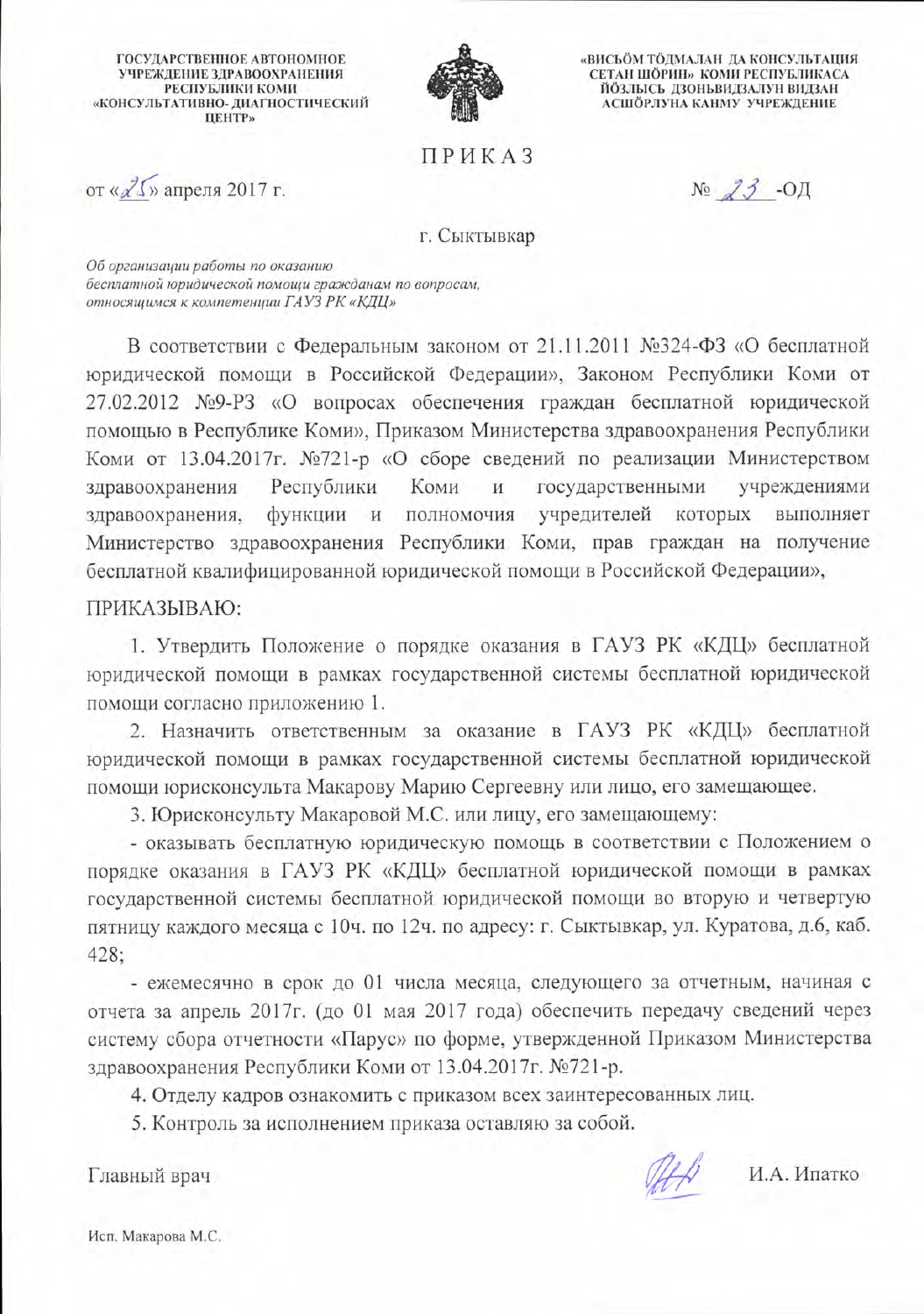**ГОСУДАРСТВЕННОЕ АВТОНОМНОЕ** УЧРЕЖДЕНИЕ ЗДРАВООХРАНЕНИЯ РЕСПУБЛИКИ КОМИ «КОНСУЛЬТАТИВНО- ДИАГНОСТИЧЕСКИЙ **ЦЕНТР»** 



«ВИСЬОМ ТОДМАЛАН ДА КОНСУЛЬТАЦИЯ СЕТАН ШОРИН» КОМИ РЕСПУБЛИКАСА ЙОЗЛЫСЬ ДЗОНЬВИДЗАЛУН ВИДЗАН АСШОРЛУНА КАНМУ УЧРЕЖДЕНИЕ

**ПРИКАЗ** 

от «25» апреля 2017 г.

 $N<sub>2</sub>$   $3 - O<sub>H</sub>$ 

#### г. Сыктывкар

Об организации работы по оказанию бесплатной юридической помощи гражданам по вопросам, относящимся к компетенции ГАУЗ РК «КДЦ»

В соответствии с Федеральным законом от 21.11.2011 №324-ФЗ «О бесплатной юридической помощи в Российской Федерации», Законом Республики Коми от 27.02.2012 №9-РЗ «О вопросах обеспечения граждан бесплатной юридической помощью в Республике Коми», Приказом Министерства здравоохранения Республики Коми от 13.04.2017г. №721-р «О сборе сведений по реализации Министерством Республики Коми здравоохранения  $\,$  M государственными учреждениями функции и полномочия учредителей которых здравоохранения, выполняет Министерство здравоохранения Республики Коми, прав граждан на получение бесплатной квалифицированной юридической помощи в Российской Федерации»,

### ПРИКАЗЫВАЮ:

1. Утвердить Положение о порядке оказания в ГАУЗ РК «КДЦ» бесплатной юридической помощи в рамках государственной системы бесплатной юридической помощи согласно приложению 1.

2. Назначить ответственным за оказание в ГАУЗ РК «КДЦ» бесплатной юридической помощи в рамках государственной системы бесплатной юридической помощи юрисконсульта Макарову Марию Сергеевну или лицо, его замещающее.

3. Юрисконсульту Макаровой М.С. или лицу, его замещающему:

- оказывать бесплатную юридическую помощь в соответствии с Положением о порядке оказания в ГАУЗ РК «КДЦ» бесплатной юридической помощи в рамках государственной системы бесплатной юридической помощи во вторую и четвертую пятницу каждого месяца с 10ч. по 12ч. по адресу: г. Сыктывкар, ул. Куратова, д.6, каб.  $428;$ 

- ежемесячно в срок до 01 числа месяца, следующего за отчетным, начиная с отчета за апрель 2017г. (до 01 мая 2017 года) обеспечить передачу сведений через систему сбора отчетности «Парус» по форме, утвержденной Приказом Министерства здравоохранения Республики Коми от 13.04.2017г. №721-р.

4. Отделу кадров ознакомить с приказом всех заинтересованных лиц.

5. Контроль за исполнением приказа оставляю за собой.

Главный врач

И.А. Ипатко

Исп. Макарова М.С.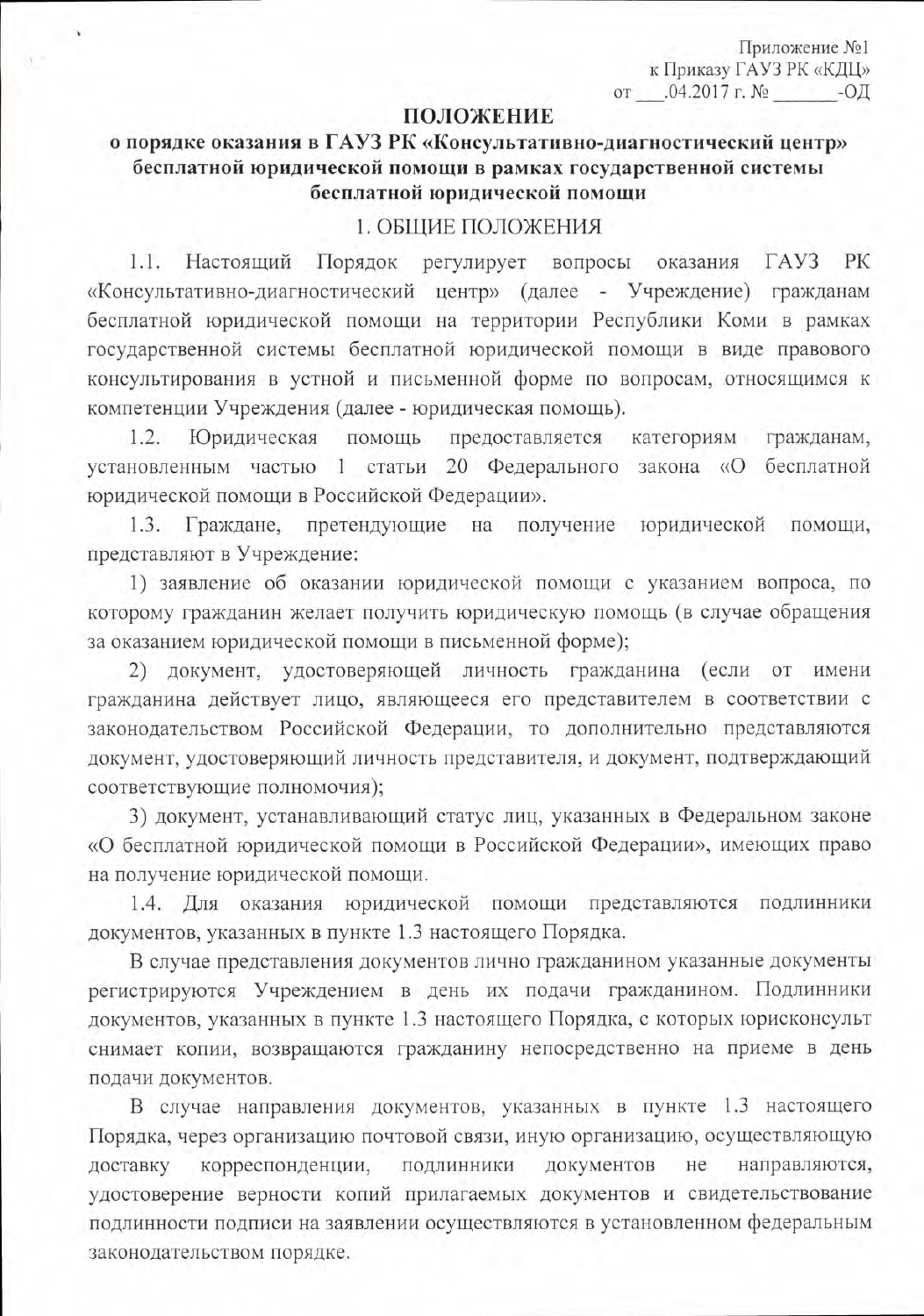Приложение №1 к Приказу ГАУЗ РК «КДЦ» or  $.04.2017$  r. No -ОД

# ПОЛОЖЕНИЕ

# о порядке оказания в ГАУЗ РК «Консультативно-диагностический центр» бесплатной юридической помощи в рамках государственной системы бесплатной юридической помощи

#### 1. ОБЩИЕ ПОЛОЖЕНИЯ

 $1.1.$ Настоящий Порядок регулирует вопросы  $\Gamma$ AV3 PК оказания «Консультативно-диагностический центр» (далее - Учреждение) гражданам бесплатной юридической помощи на территории Республики Коми в рамках государственной системы бесплатной юридической помощи в виде правового консультирования в устной и письменной форме по вопросам, относящимся к компетенции Учреждения (далее - юридическая помощь).

1.2. Юридическая предоставляется помощь категориям гражданам, установленным частью 1 статьи 20 Федерального закона «О бесплатной юридической помощи в Российской Федерации».

Граждане, претендующие на получение юридической  $1.3.$ помощи, представляют в Учреждение:

1) заявление об оказании юридической помощи с указанием вопроса, по которому гражданин желает получить юридическую помощь (в случае обращения за оказанием юридической помощи в письменной форме);

2) документ, удостоверяющей личность гражданина (если от имени гражданина действует лицо, являющееся его представителем в соответствии с законодательством Российской Федерации, то дополнительно представляются документ, удостоверяющий личность представителя, и документ, подтверждающий соответствующие полномочия);

3) документ, устанавливающий статус лиц, указанных в Федеральном законе «О бесплатной юридической помощи в Российской Федерации», имеющих право на получение юридической помощи.

1.4. Для оказания юридической помощи представляются подлинники документов, указанных в пункте 1.3 настоящего Порядка.

В случае представления документов лично гражданином указанные документы регистрируются Учреждением в день их подачи гражданином. Подлинники документов, указанных в пункте 1.3 настоящего Порядка, с которых юрисконсульт снимает копии, возвращаются гражданину непосредственно на приеме в день подачи документов.

В случае направления документов, указанных в пункте 1.3 настоящего Порядка, через организацию почтовой связи, иную организацию, осуществляющую корреспонденции, подлинники документов не направляются, доставку удостоверение верности копий прилагаемых документов и свидетельствование подлинности подписи на заявлении осуществляются в установленном федеральным законодательством порядке.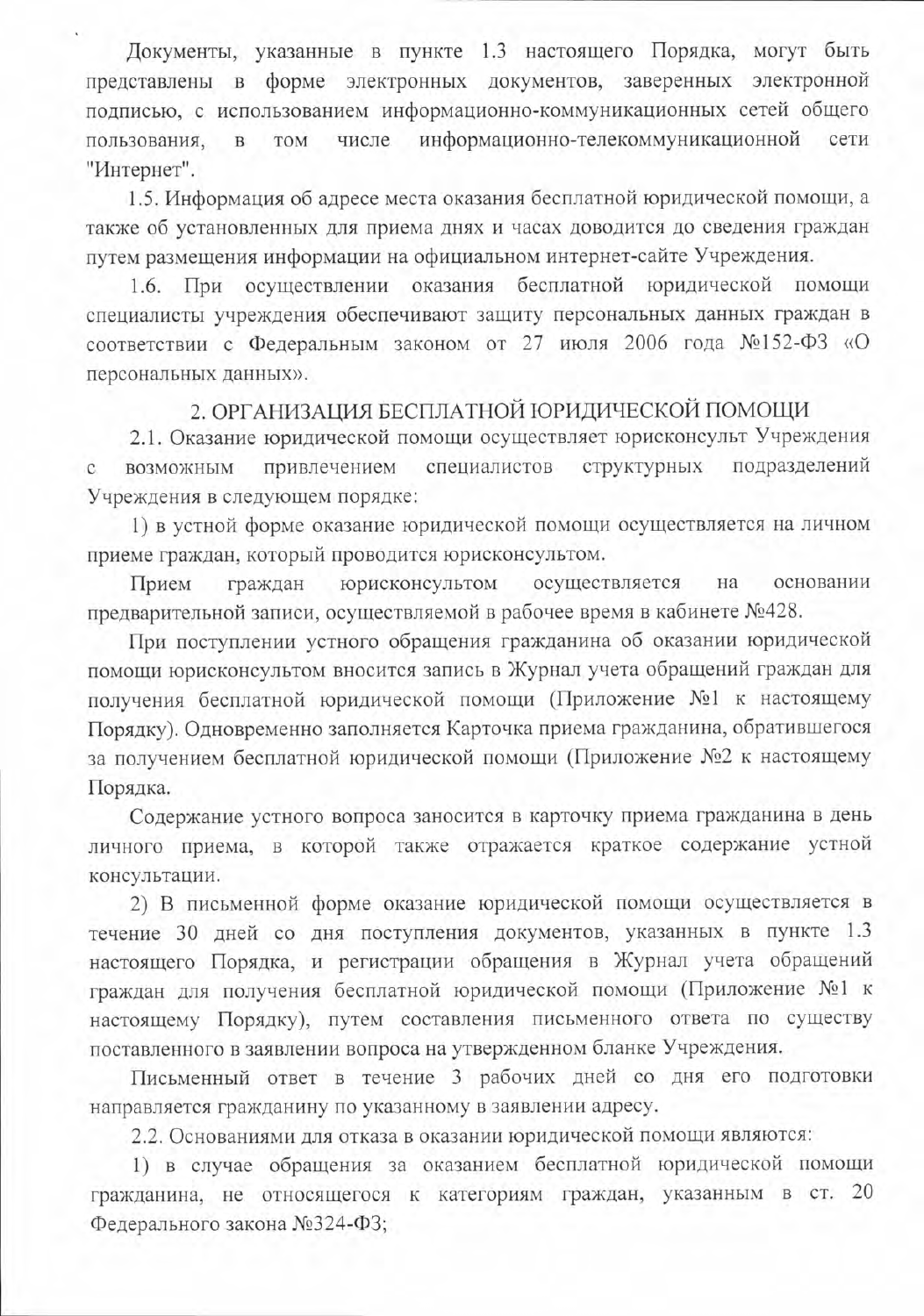Документы, указанные в пункте 1.3 настоящего Порядка, могут быть представлены в форме электронных документов, заверенных электронной подписью, с использованием информационно-коммуникационных сетей общего числе информационно-телекоммуникационной пользования,  $\bar{\mathrm{B}}$ TOM сети "Интернет".

1.5. Информация об адресе места оказания бесплатной юридической помощи, а также об установленных для приема днях и часах доводится до сведения граждан путем размещения информации на официальном интернет-сайте Учреждения.

При осуществлении оказания бесплатной юридической помощи 1.6. специалисты учреждения обеспечивают защиту персональных данных граждан в соответствии с Федеральным законом от 27 июля 2006 года №152-ФЗ «О персональных данных».

# 2. ОРГАНИЗАЦИЯ БЕСПЛАТНОЙ ЮРИДИЧЕСКОЙ ПОМОЩИ

2.1. Оказание юридической помощи осуществляет юрисконсульт Учреждения подразделений привлечением специалистов структурных возможным  $\mathbf{C}$ Учреждения в следующем порядке:

1) в устной форме оказание юридической помощи осуществляется на личном приеме граждан, который проводится юрисконсультом.

осуществляется основании граждан юрисконсультом на Прием предварительной записи, осуществляемой в рабочее время в кабинете №428.

При поступлении устного обращения гражданина об оказании юридической помощи юрисконсультом вносится запись в Журнал учета обращений граждан для получения бесплатной юридической помощи (Приложение №1 к настоящему Порядку). Одновременно заполняется Карточка приема гражданина, обратившегося за получением бесплатной юридической помощи (Приложение №2 к настоящему Порядка.

Содержание устного вопроса заносится в карточку приема гражданина в день личного приема, в которой также отражается краткое содержание устной консультации.

2) В письменной форме оказание юридической помощи осуществляется в течение 30 дней со дня поступления документов, указанных в пункте 1.3 настоящего Порядка, и регистрации обращения в Журнал учета обращений граждан для получения бесплатной юридической помощи (Приложение №1 к настоящему Порядку), путем составления письменного ответа по существу поставленного в заявлении вопроса на утвержденном бланке Учреждения.

Письменный ответ в течение 3 рабочих дней со дня его подготовки направляется гражданину по указанному в заявлении адресу.

2.2. Основаниями для отказа в оказании юридической помощи являются:

1) в случае обращения за оказанием бесплатной юридической помощи гражданина, не относящегося к категориям граждан, указанным в ст. 20 Федерального закона №324-ФЗ;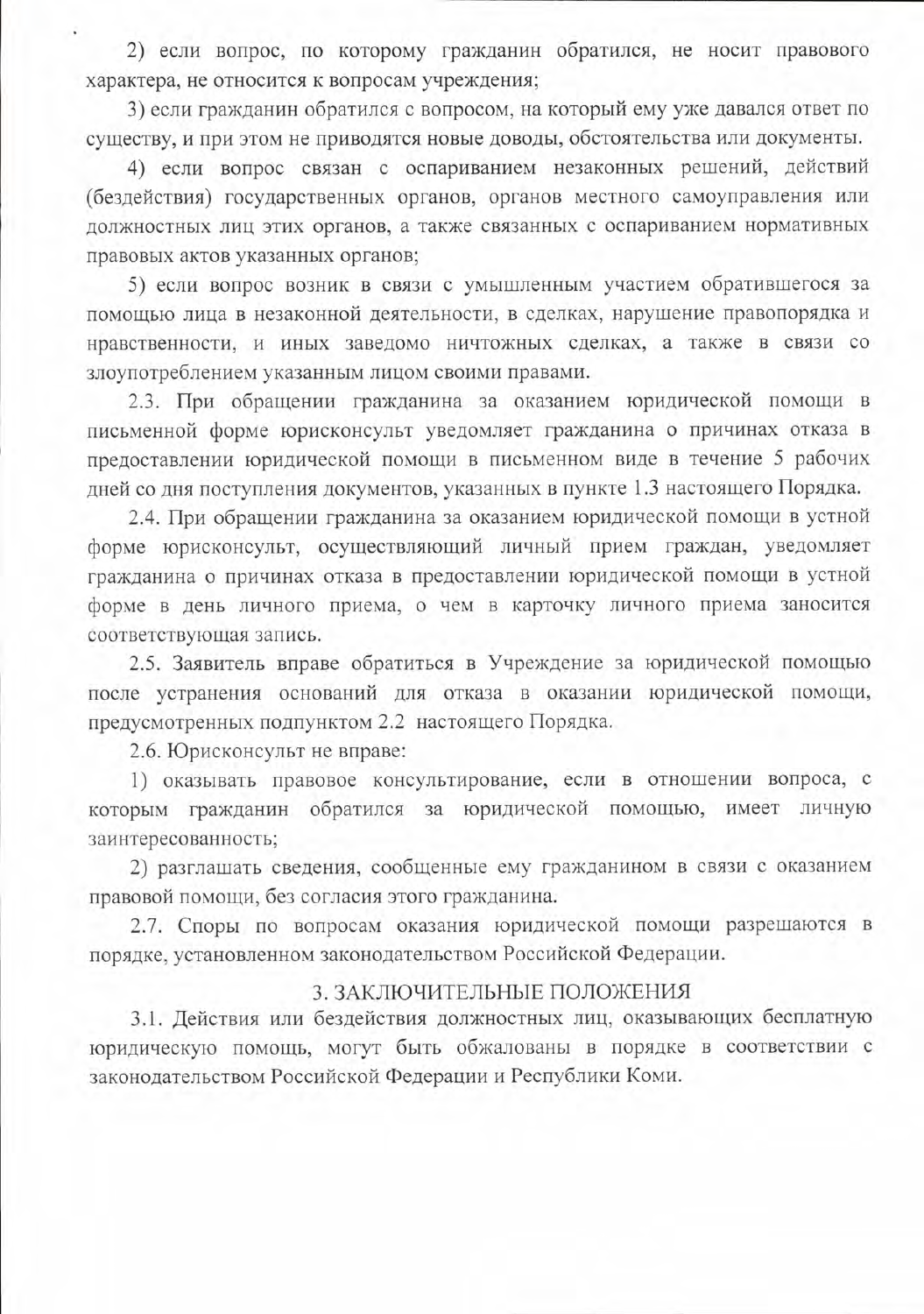2) если вопрос, по которому гражданин обратился, не носит правового характера, не относится к вопросам учреждения;

3) если гражданин обратился с вопросом, на который ему уже давался ответ по существу, и при этом не приводятся новые доводы, обстоятельства или документы.

4) если вопрос связан с оспариванием незаконных решений, действий (бездействия) государственных органов, органов местного самоуправления или должностных лиц этих органов, а также связанных с оспариванием нормативных правовых актов указанных органов;

5) если вопрос возник в связи с умышленным участием обратившегося за помощью лица в незаконной деятельности, в сделках, нарушение правопорядка и нравственности, и иных заведомо ничтожных сделках, а также в связи со злоупотреблением указанным лицом своими правами.

2.3. При обращении гражданина за оказанием юридической помощи в письменной форме юрисконсульт уведомляет гражданина о причинах отказа в предоставлении юридической помощи в письменном виде в течение 5 рабочих дней со дня поступления документов, указанных в пункте 1.3 настоящего Порядка.

2.4. При обращении гражданина за оказанием юридической помощи в устной форме юрисконсульт, осуществляющий личный прием граждан, уведомляет гражданина о причинах отказа в предоставлении юридической помощи в устной форме в день личного приема, о чем в карточку личного приема заносится соответствующая запись.

2.5. Заявитель вправе обратиться в Учреждение за юридической помощью после устранения оснований для отказа в оказании юридической помощи, предусмотренных подпунктом 2.2 настоящего Порядка.

2.6. Юрисконсульт не вправе:

1) оказывать правовое консультирование, если в отношении вопроса, с которым гражданин обратился за юридической помощью, имеет личную заинтересованность;

2) разглашать сведения, сообщенные ему гражданином в связи с оказанием правовой помощи, без согласия этого гражданина.

2.7. Споры по вопросам оказания юридической помощи разрешаются в порядке, установленном законодательством Российской Федерации.

# 3. ЗАКЛЮЧИТЕЛЬНЫЕ ПОЛОЖЕНИЯ

3.1. Действия или бездействия должностных лиц, оказывающих бесплатную юридическую помощь, могут быть обжалованы в порядке в соответствии с законодательством Российской Федерации и Республики Коми.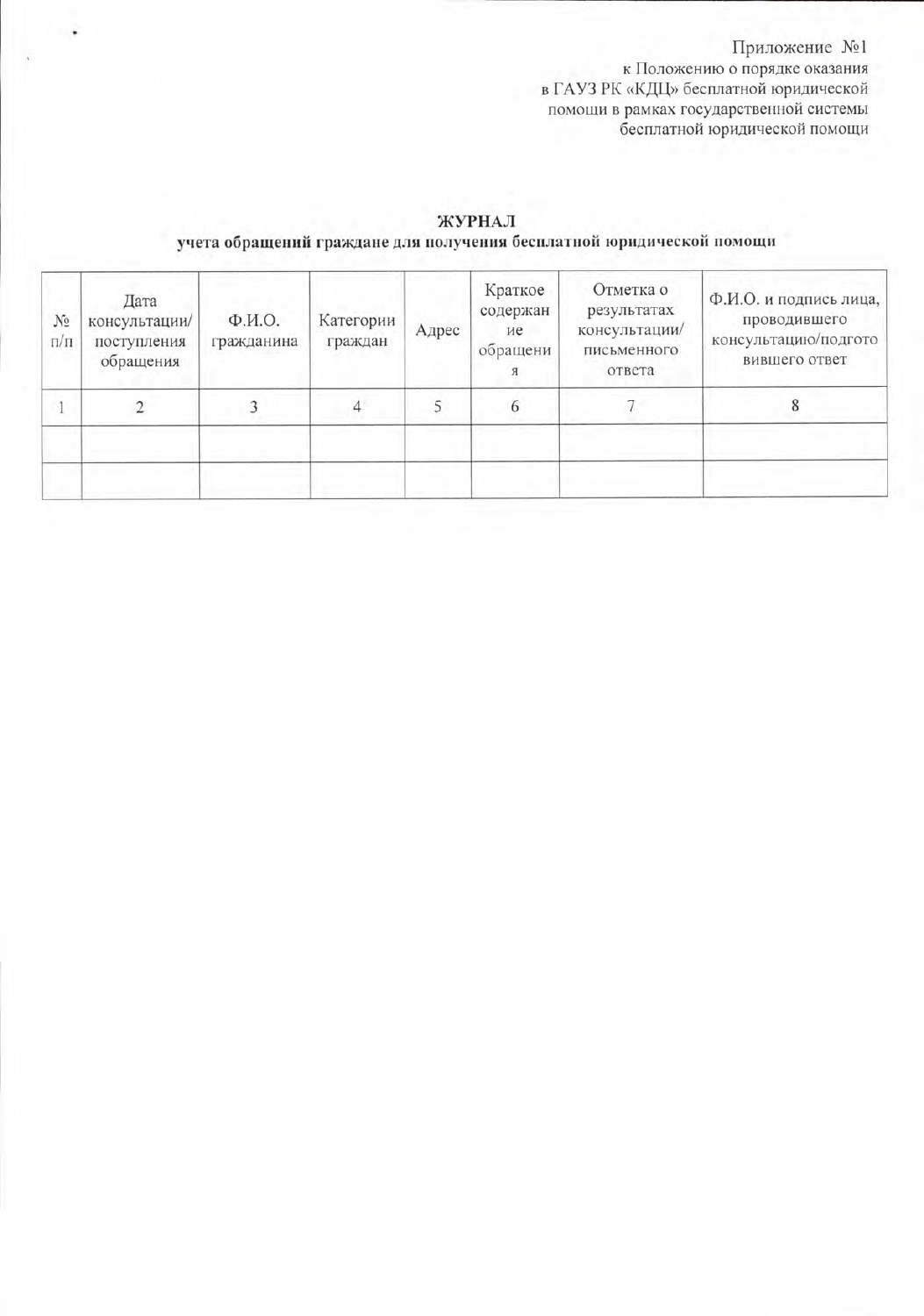Приложение №1 к Положению о порядке оказания<br>в ГАУЗ РК «КДЦ» бесплатной юридической помощи в рамках государственной системы<br>бесплатной юридической помощи

### ЖУРНАЛ учета обращений граждане для получения бесплатной юридической помощи

| N <sub>2</sub><br>$\Pi/\Pi$ | Дата<br>консультации/<br>поступления<br>обращения | Ф.И.О.<br>гражданина | Категории<br>граждан | Адрес | Краткое<br>содержан<br>ие<br>обращени | Отметка о<br>результатах<br>консультации/<br>письменного<br>ответа | Ф.И.О. и подпись лица,<br>проводившего<br>консультацию/подгото<br>вившего ответ |
|-----------------------------|---------------------------------------------------|----------------------|----------------------|-------|---------------------------------------|--------------------------------------------------------------------|---------------------------------------------------------------------------------|
|                             |                                                   |                      |                      |       | 6                                     |                                                                    |                                                                                 |
|                             |                                                   |                      |                      |       |                                       |                                                                    |                                                                                 |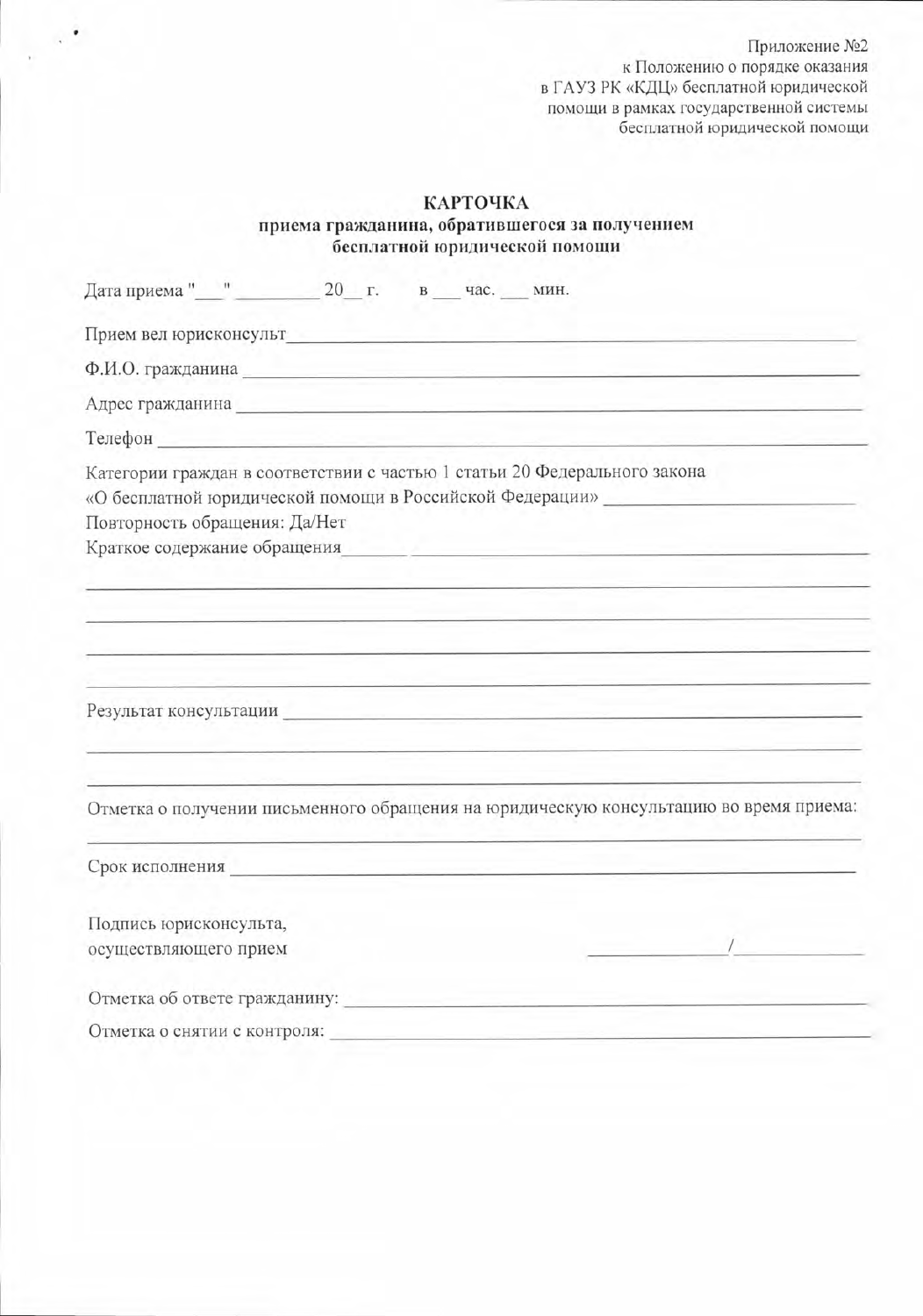Приложение №2 к Положению о порядке оказания в ГАУЗ РК «КДЦ» бесплатной юридической<br>помощи в рамках государственной системы<br>бесплатной юридической помощи

### КАРТОЧКА

٠

#### приема гражданина, обратившегося за получением бесплатной юридической помощи

| Дата приема " " 20 г. в час. мин.                                                                                                                                                                      |  |
|--------------------------------------------------------------------------------------------------------------------------------------------------------------------------------------------------------|--|
| Прием вел юрисконсульт                                                                                                                                                                                 |  |
| Ф.И.О. гражданина Последние при политических при политических при политических при политических                                                                                                        |  |
| Адрес гражданина Польской принцип по польской принцип по польской принцип по польской принцип по польской принцип по                                                                                   |  |
| Телефон и после по после по после по после по после по после по после по после по после по после по после по                                                                                           |  |
| Категории граждан в соответствии с частью 1 статьи 20 Федерального закона<br>«О бесплатной юридической помощи в Российской Федерации»<br>Повторность обращения: Да/Нет<br>Краткое содержание обращения |  |
|                                                                                                                                                                                                        |  |
|                                                                                                                                                                                                        |  |
| Результат консультации Политический политический политический политический политический политический политичес                                                                                         |  |
| Отметка о получении письменного обращения на юридическую консультацию во время приема:                                                                                                                 |  |
|                                                                                                                                                                                                        |  |
| Подпись юрисконсульта,                                                                                                                                                                                 |  |
| осуществляющего прием                                                                                                                                                                                  |  |
| Отметка об ответе гражданину:                                                                                                                                                                          |  |
| Отметка о снятии с контроля:                                                                                                                                                                           |  |